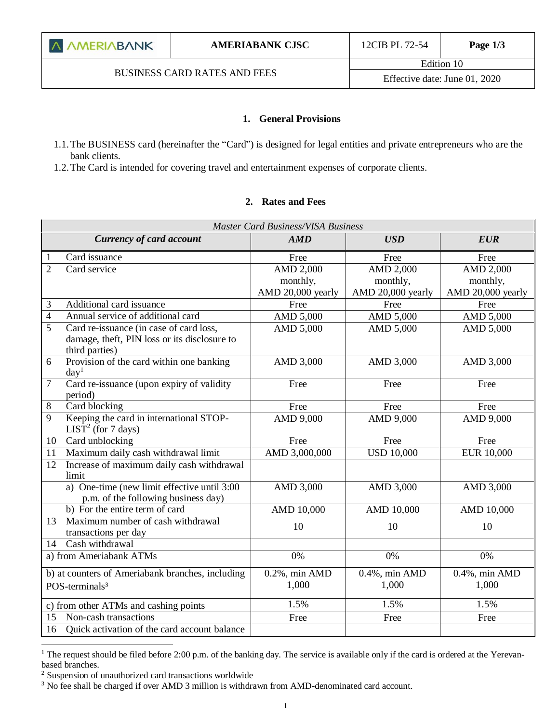#### **1. General Provisions**

- 1.1.The BUSINESS card (hereinafter the "Card") is designed for legal entities and private entrepreneurs who are the bank clients.
- 1.2.The Card is intended for covering travel and entertainment expenses of corporate clients.

#### **2. Rates and Fees**

| <b>Master Card Business/VISA Business</b>                                      |                                                                                         |                            |                            |                            |  |
|--------------------------------------------------------------------------------|-----------------------------------------------------------------------------------------|----------------------------|----------------------------|----------------------------|--|
|                                                                                | <b>Currency of card account</b>                                                         | AMD                        | <b>USD</b>                 | <b>EUR</b>                 |  |
| 1                                                                              | Card issuance                                                                           | Free                       | Free                       | Free                       |  |
| $\overline{2}$                                                                 | Card service                                                                            | <b>AMD 2,000</b>           | <b>AMD 2,000</b>           | AMD 2,000                  |  |
|                                                                                |                                                                                         | monthly,                   | monthly,                   | monthly,                   |  |
|                                                                                |                                                                                         | AMD 20,000 yearly          | AMD 20,000 yearly          | AMD 20,000 yearly          |  |
| 3                                                                              | Additional card issuance                                                                | Free                       | Free                       | Free                       |  |
| $\overline{4}$                                                                 | Annual service of additional card                                                       | AMD 5,000                  | AMD 5,000                  | AMD 5,000                  |  |
| 5                                                                              | Card re-issuance (in case of card loss,<br>damage, theft, PIN loss or its disclosure to | AMD 5,000                  | AMD 5,000                  | AMD 5,000                  |  |
|                                                                                | third parties)                                                                          |                            |                            |                            |  |
| 6                                                                              | Provision of the card within one banking<br>day <sup>1</sup>                            | AMD 3,000                  | AMD 3,000                  | AMD 3,000                  |  |
| 7                                                                              | Card re-issuance (upon expiry of validity<br>period)                                    | Free                       | Free                       | Free                       |  |
| 8                                                                              | Card blocking                                                                           | Free                       | Free                       | Free                       |  |
| 9                                                                              | Keeping the card in international STOP-<br>LIST <sup>2</sup> (for 7 days)               | AMD 9,000                  | AMD 9,000                  | AMD 9,000                  |  |
| 10                                                                             | Card unblocking                                                                         | Free                       | Free                       | Free                       |  |
| 11                                                                             | Maximum daily cash withdrawal limit                                                     | AMD 3,000,000              | <b>USD 10,000</b>          | EUR 10,000                 |  |
| 12                                                                             | Increase of maximum daily cash withdrawal<br>limit                                      |                            |                            |                            |  |
|                                                                                | a) One-time (new limit effective until 3:00<br>p.m. of the following business day)      | AMD 3,000                  | AMD 3,000                  | AMD 3,000                  |  |
|                                                                                | b) For the entire term of card                                                          | AMD 10,000                 | AMD 10,000                 | AMD 10,000                 |  |
| 13                                                                             | Maximum number of cash withdrawal<br>transactions per day                               | 10                         | 10                         | 10                         |  |
| 14                                                                             | Cash withdrawal                                                                         |                            |                            |                            |  |
| a) from Ameriabank ATMs                                                        |                                                                                         | 0%                         | 0%                         | 0%                         |  |
| b) at counters of Ameriabank branches, including<br>POS-terminals <sup>3</sup> |                                                                                         | $0.2\%$ , min AMD<br>1,000 | $0.4\%$ , min AMD<br>1,000 | $0.4\%$ , min AMD<br>1,000 |  |
|                                                                                | c) from other ATMs and cashing points                                                   | 1.5%                       | 1.5%                       | 1.5%                       |  |
| Non-cash transactions<br>15                                                    |                                                                                         | Free                       | Free                       | Free                       |  |
| Quick activation of the card account balance<br>16                             |                                                                                         |                            |                            |                            |  |

<sup>&</sup>lt;sup>1</sup> The request should be filed before 2:00 p.m. of the banking day. The service is available only if the card is ordered at the Yerevanbased branches.

 $\overline{a}$ 

<sup>2</sup> Suspension of unauthorized card transactions worldwide

<sup>&</sup>lt;sup>3</sup> No fee shall be charged if over AMD 3 million is withdrawn from AMD-denominated card account.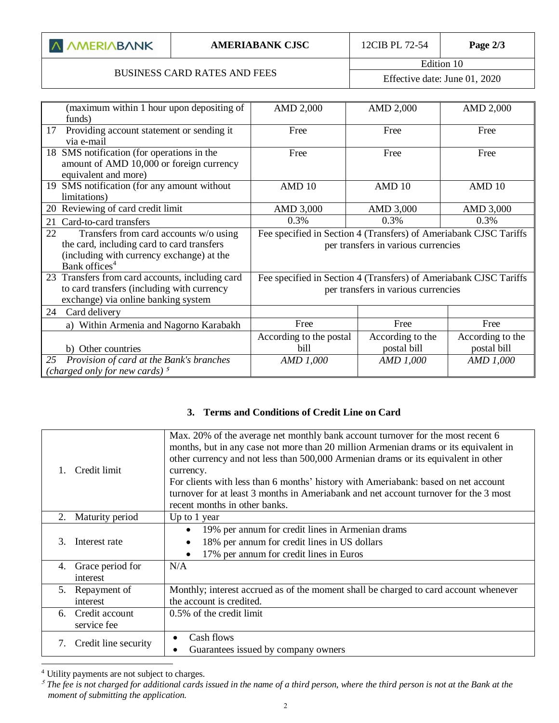| <b>A AMERIABANK</b> |  |  |
|---------------------|--|--|
|---------------------|--|--|

I

# BUSINESS CARD RATES AND FEES

Edition 10 Effective date: June 01, 2020

| (maximum within 1 hour upon depositing of<br>funds)                                                                                                                  | <b>AMD 2,000</b>                                                                                         | AMD 2,000                       | AMD 2,000                       |
|----------------------------------------------------------------------------------------------------------------------------------------------------------------------|----------------------------------------------------------------------------------------------------------|---------------------------------|---------------------------------|
| 17<br>Providing account statement or sending it<br>via e-mail                                                                                                        | Free                                                                                                     | Free                            | Free                            |
| 18 SMS notification (for operations in the<br>amount of AMD 10,000 or foreign currency<br>equivalent and more)                                                       | Free<br>Free                                                                                             |                                 | Free                            |
| 19 SMS notification (for any amount without<br>limitations)                                                                                                          | AMD 10                                                                                                   | AMD <sub>10</sub>               | AMD 10                          |
| 20 Reviewing of card credit limit                                                                                                                                    | AMD 3,000                                                                                                | AMD 3,000                       | AMD 3,000                       |
| Card-to-card transfers<br>21                                                                                                                                         | 0.3%                                                                                                     | 0.3%                            | 0.3%                            |
| 22<br>Transfers from card accounts w/o using<br>the card, including card to card transfers<br>(including with currency exchange) at the<br>Bank offices <sup>4</sup> | Fee specified in Section 4 (Transfers) of Ameriabank CJSC Tariffs<br>per transfers in various currencies |                                 |                                 |
| 23 Transfers from card accounts, including card<br>to card transfers (including with currency<br>exchange) via online banking system                                 | Fee specified in Section 4 (Transfers) of Ameriabank CJSC Tariffs<br>per transfers in various currencies |                                 |                                 |
| 24<br>Card delivery                                                                                                                                                  |                                                                                                          |                                 |                                 |
| a) Within Armenia and Nagorno Karabakh                                                                                                                               | Free                                                                                                     | Free                            | Free                            |
| b) Other countries                                                                                                                                                   | According to the postal<br>bill                                                                          | According to the<br>postal bill | According to the<br>postal bill |
| Provision of card at the Bank's branches<br>25<br>(charged only for new cards) $5$                                                                                   | AMD 1,000                                                                                                | AMD 1,000                       | AMD 1,000                       |

### **3. Terms and Conditions of Credit Line on Card**

| Credit limit                        | Max. 20% of the average net monthly bank account turnover for the most recent 6<br>months, but in any case not more than 20 million Armenian drams or its equivalent in<br>other currency and not less than 500,000 Armenian drams or its equivalent in other<br>currency.<br>For clients with less than 6 months' history with Ameriabank: based on net account<br>turnover for at least 3 months in Ameriabank and net account turnover for the 3 most<br>recent months in other banks. |
|-------------------------------------|-------------------------------------------------------------------------------------------------------------------------------------------------------------------------------------------------------------------------------------------------------------------------------------------------------------------------------------------------------------------------------------------------------------------------------------------------------------------------------------------|
| Maturity period<br>2.               | Up to 1 year                                                                                                                                                                                                                                                                                                                                                                                                                                                                              |
| Interest rate<br>3                  | 19% per annum for credit lines in Armenian drams<br>18% per annum for credit lines in US dollars<br>17% per annum for credit lines in Euros                                                                                                                                                                                                                                                                                                                                               |
| Grace period for<br>4.<br>interest  | N/A                                                                                                                                                                                                                                                                                                                                                                                                                                                                                       |
| Repayment of<br>5.<br>interest      | Monthly; interest accrued as of the moment shall be charged to card account whenever<br>the account is credited.                                                                                                                                                                                                                                                                                                                                                                          |
| Credit account<br>6.<br>service fee | 0.5% of the credit limit                                                                                                                                                                                                                                                                                                                                                                                                                                                                  |
| Credit line security<br>7.          | Cash flows<br>$\bullet$<br>Guarantees issued by company owners                                                                                                                                                                                                                                                                                                                                                                                                                            |

<sup>4</sup> Utility payments are not subject to charges.

 $\overline{a}$ 

 $5$  The fee is not charged for additional cards issued in the name of a third person, where the third person is not at the Bank at the *moment of submitting the application.*